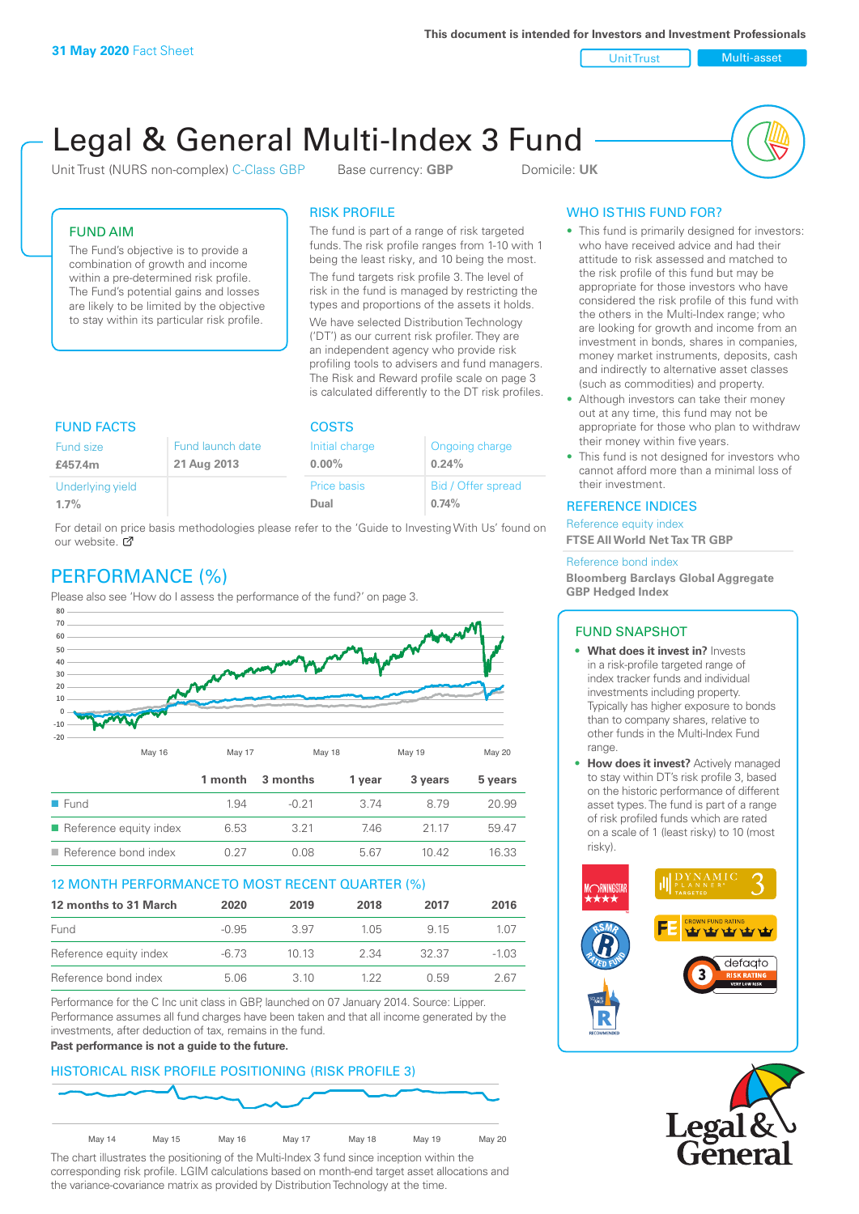Unit Trust Nulti-asset

# Legal & General Multi-Index 3 Fund

Unit Trust (NURS non-complex) C-Class GBP Base currency: **GBP** Domicile: UK



## FUND AIM

The Fund's objective is to provide a combination of growth and income within a pre-determined risk profile. The Fund's potential gains and losses are likely to be limited by the objective to stay within its particular risk profile.

## RISK PROFILE

The fund is part of a range of risk targeted funds. The risk profile ranges from 1-10 with 1 being the least risky, and 10 being the most.

The fund targets risk profile 3. The level of risk in the fund is managed by restricting the types and proportions of the assets it holds. We have selected Distribution Technology ('DT') as our current risk profiler. They are an independent agency who provide risk profiling tools to advisers and fund managers. The Risk and Reward profile scale on page 3 is calculated differently to the DT risk profiles.

| <b>FUND FACTS</b> |                  | <b>COSTS</b>       |                    |  |
|-------------------|------------------|--------------------|--------------------|--|
| Fund size         | Fund launch date | Initial charge     | Ongoing charge     |  |
| £457.4m           | 21 Aug 2013      | $0.00\%$           | 0.24%              |  |
| Underlying yield  |                  | <b>Price basis</b> | Bid / Offer spread |  |
| 1.7%              |                  | Dual               | 0.74%              |  |

For detail on price basis methodologies please refer to the 'Guide to Investing With Us' found on our website. Ø

# PERFORMANCE (%)

Please also see 'How do I assess the performance of the fund?' on page 3.



## 12 MONTH PERFORMANCE TO MOST RECENT QUARTER (%)

| 12 months to 31 March  | 2020    | 2019  | 2018  | 2017  | 2016    |
|------------------------|---------|-------|-------|-------|---------|
| Fund                   | $-0.95$ | 3.97  | 1 0.5 | 9 15  | 1.07    |
| Reference equity index | -6.73   | 1013  | 2.34  | 32.37 | $-1.03$ |
| Reference bond index   | 5.06    | 3. IO | 1 22  | ()59  | 2 67    |

Performance for the C Inc unit class in GBP, launched on 07 January 2014. Source: Lipper. Performance assumes all fund charges have been taken and that all income generated by the investments, after deduction of tax, remains in the fund.

#### **Past performance is not a guide to the future.**

# HISTORICAL RISK PROFILE POSITIONING (RISK PROFILE 3)



The chart illustrates the positioning of the Multi-Index 3 fund since inception within the corresponding risk profile. LGIM calculations based on month-end target asset allocations and the variance-covariance matrix as provided by Distribution Technology at the time.

# WHO IS THIS FUND FOR?

- This fund is primarily designed for investors: who have received advice and had their attitude to risk assessed and matched to the risk profile of this fund but may be appropriate for those investors who have considered the risk profile of this fund with the others in the Multi-Index range; who are looking for growth and income from an investment in bonds, shares in companies, money market instruments, deposits, cash and indirectly to alternative asset classes (such as commodities) and property.
- Although investors can take their money out at any time, this fund may not be appropriate for those who plan to withdraw their money within five years.
- This fund is not designed for investors who cannot afford more than a minimal loss of their investment.

## REFERENCE INDICES

Reference equity index **FTSE All World Net Tax TR GBP**

#### Reference bond index

**Bloomberg Barclays Global Aggregate GBP Hedged Index**

## FUND SNAPSHOT

- **• What does it invest in?** Invests in a risk-profile targeted range of index tracker funds and individual investments including property. Typically has higher exposure to bonds than to company shares, relative to other funds in the Multi-Index Fund range.
- **• How does it invest?** Actively managed to stay within DT's risk profile 3, based on the historic performance of different asset types. The fund is part of a range of risk profiled funds which are rated on a scale of 1 (least risky) to 10 (most risky).



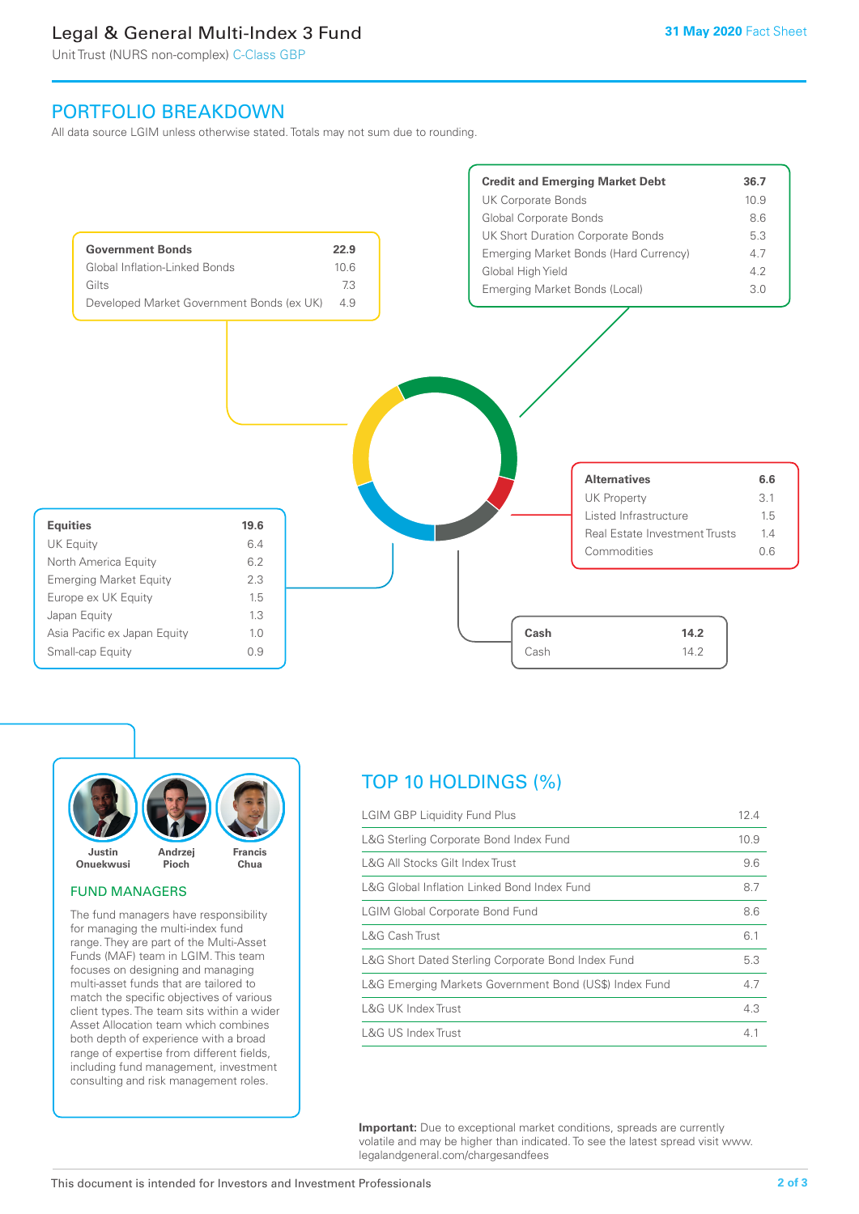# Legal & General Multi-Index 3 Fund

Unit Trust (NURS non-complex) C-Class GBP

# PORTFOLIO BREAKDOWN

All data source LGIM unless otherwise stated. Totals may not sum due to rounding.





## FUND MANAGERS

The fund managers have responsibility for managing the multi-index fund range. They are part of the Multi-Asset Funds (MAF) team in LGIM. This team focuses on designing and managing multi-asset funds that are tailored to match the specific objectives of various client types. The team sits within a wider Asset Allocation team which combines both depth of experience with a broad range of expertise from different fields, including fund management, investment consulting and risk management roles.

# TOP 10 HOLDINGS (%)

| <b>LGIM GBP Liquidity Fund Plus</b>                    | 12.4 |
|--------------------------------------------------------|------|
| L&G Sterling Corporate Bond Index Fund                 | 10.9 |
| L&G All Stocks Gilt Index Trust                        | 9.6  |
| L&G Global Inflation Linked Bond Index Fund            | 8.7  |
| <b>LGIM Global Corporate Bond Fund</b>                 | 8.6  |
| L&G Cash Trust                                         | 6.1  |
| L&G Short Dated Sterling Corporate Bond Index Fund     | 5.3  |
| L&G Emerging Markets Government Bond (US\$) Index Fund | 4.7  |
| <b>L&amp;G UK Index Trust</b>                          | 4.3  |
| <b>L&amp;G US Index Trust</b>                          | 4.1  |

**Important:** Due to exceptional market conditions, spreads are currently volatile and may be higher than indicated. To see the latest spread visit www. legalandgeneral.com/chargesandfees